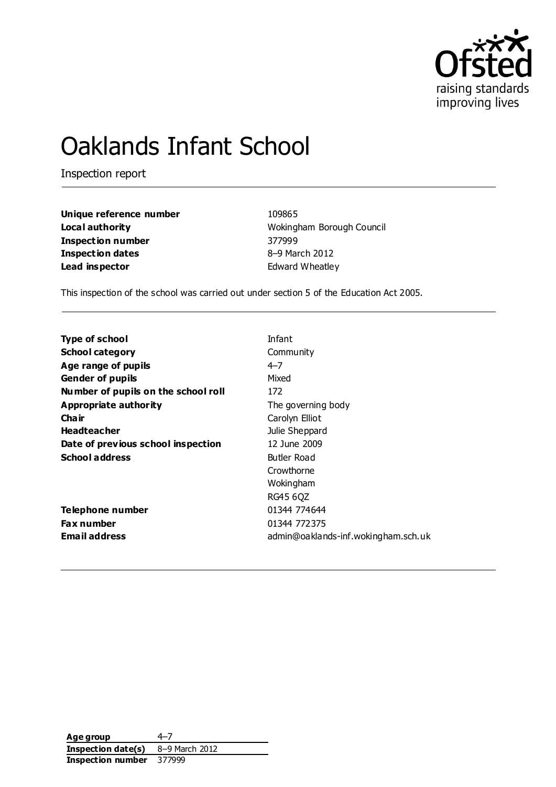

# Oaklands Infant School

Inspection report

**Unique reference number** 109865 **Inspection number** 377999 **Inspection dates** 8–9 March 2012 **Lead inspector Edward Wheatley** 

**Local authority Mokingham Borough Council** 

This inspection of the school was carried out under section 5 of the Education Act 2005.

| <b>School category</b><br>Community<br>Age range of pupils<br>4–7<br>Mixed<br><b>Gender of pupils</b><br>172<br>Number of pupils on the school roll<br>Appropriate authority<br>The governing body<br>Cha ir<br>Carolyn Elliot<br><b>Headteacher</b><br>Julie Sheppard<br>12 June 2009<br>Date of previous school inspection<br><b>School address</b><br>Butler Road<br>Crowthorne<br>Wokingham<br>RG45 6QZ<br>01344 774644<br>Telephone number<br>01344 772375<br>Fax number<br><b>Email address</b> | <b>Type of school</b> | Infant                              |
|-------------------------------------------------------------------------------------------------------------------------------------------------------------------------------------------------------------------------------------------------------------------------------------------------------------------------------------------------------------------------------------------------------------------------------------------------------------------------------------------------------|-----------------------|-------------------------------------|
|                                                                                                                                                                                                                                                                                                                                                                                                                                                                                                       |                       |                                     |
|                                                                                                                                                                                                                                                                                                                                                                                                                                                                                                       |                       |                                     |
|                                                                                                                                                                                                                                                                                                                                                                                                                                                                                                       |                       |                                     |
|                                                                                                                                                                                                                                                                                                                                                                                                                                                                                                       |                       |                                     |
|                                                                                                                                                                                                                                                                                                                                                                                                                                                                                                       |                       |                                     |
|                                                                                                                                                                                                                                                                                                                                                                                                                                                                                                       |                       |                                     |
|                                                                                                                                                                                                                                                                                                                                                                                                                                                                                                       |                       |                                     |
|                                                                                                                                                                                                                                                                                                                                                                                                                                                                                                       |                       |                                     |
|                                                                                                                                                                                                                                                                                                                                                                                                                                                                                                       |                       |                                     |
|                                                                                                                                                                                                                                                                                                                                                                                                                                                                                                       |                       |                                     |
|                                                                                                                                                                                                                                                                                                                                                                                                                                                                                                       |                       |                                     |
|                                                                                                                                                                                                                                                                                                                                                                                                                                                                                                       |                       |                                     |
|                                                                                                                                                                                                                                                                                                                                                                                                                                                                                                       |                       |                                     |
|                                                                                                                                                                                                                                                                                                                                                                                                                                                                                                       |                       |                                     |
|                                                                                                                                                                                                                                                                                                                                                                                                                                                                                                       |                       | admin@oaklands-inf.wokingham.sch.uk |

**Age group** 4–7 **Inspection date(s)** 8–9 March 2012 **Inspection number** 377999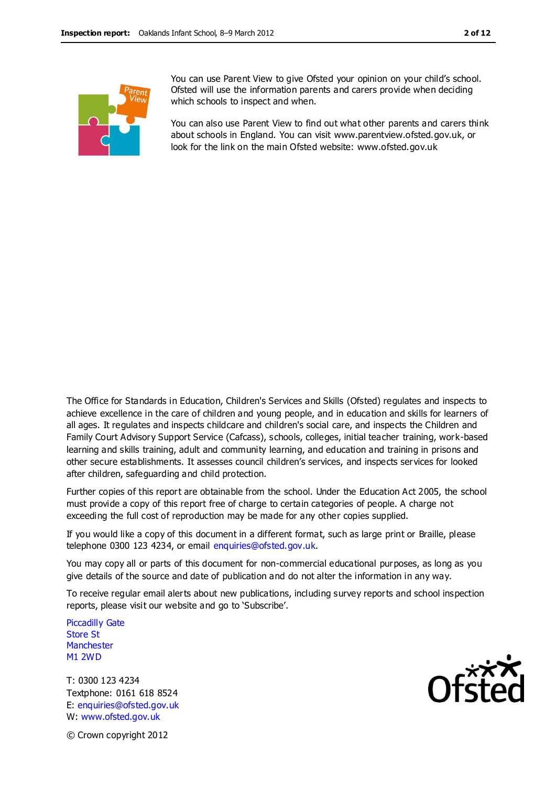

You can use Parent View to give Ofsted your opinion on your child's school. Ofsted will use the information parents and carers provide when deciding which schools to inspect and when.

You can also use Parent View to find out what other parents and carers think about schools in England. You can visit www.parentview.ofsted.gov.uk, or look for the link on the main Ofsted website: www.ofsted.gov.uk

The Office for Standards in Education, Children's Services and Skills (Ofsted) regulates and inspects to achieve excellence in the care of children and young people, and in education and skills for learners of all ages. It regulates and inspects childcare and children's social care, and inspects the Children and Family Court Advisory Support Service (Cafcass), schools, colleges, initial teacher training, work-based learning and skills training, adult and community learning, and education and training in prisons and other secure establishments. It assesses council children's services, and inspects services for looked after children, safeguarding and child protection.

Further copies of this report are obtainable from the school. Under the Education Act 2005, the school must provide a copy of this report free of charge to certain categories of people. A charge not exceeding the full cost of reproduction may be made for any other copies supplied.

If you would like a copy of this document in a different format, such as large print or Braille, please telephone 0300 123 4234, or email enquiries@ofsted.gov.uk.

You may copy all or parts of this document for non-commercial educational purposes, as long as you give details of the source and date of publication and do not alter the information in any way.

To receive regular email alerts about new publications, including survey reports and school inspection reports, please visit our website and go to 'Subscribe'.

Piccadilly Gate Store St **Manchester** M1 2WD

T: 0300 123 4234 Textphone: 0161 618 8524 E: enquiries@ofsted.gov.uk W: www.ofsted.gov.uk



© Crown copyright 2012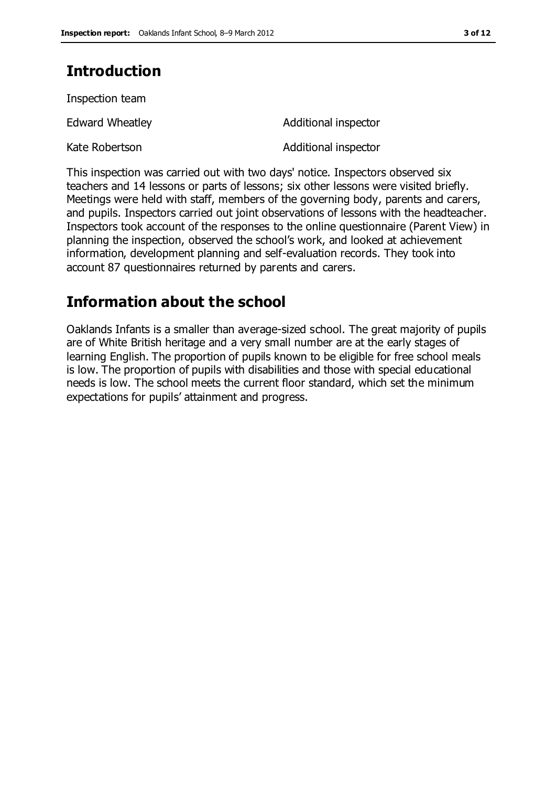### **Introduction**

Inspection team

Edward Wheatley **Additional inspector** Kate Robertson **Additional inspector** 

This inspection was carried out with two days' notice. Inspectors observed six teachers and 14 lessons or parts of lessons; six other lessons were visited briefly. Meetings were held with staff, members of the governing body, parents and carers, and pupils. Inspectors carried out joint observations of lessons with the headteacher. Inspectors took account of the responses to the online questionnaire (Parent View) in planning the inspection, observed the school's work, and looked at achievement information, development planning and self-evaluation records. They took into account 87 questionnaires returned by parents and carers.

### **Information about the school**

Oaklands Infants is a smaller than average-sized school. The great majority of pupils are of White British heritage and a very small number are at the early stages of learning English. The proportion of pupils known to be eligible for free school meals is low. The proportion of pupils with disabilities and those with special educational needs is low. The school meets the current floor standard, which set the minimum expectations for pupils' attainment and progress.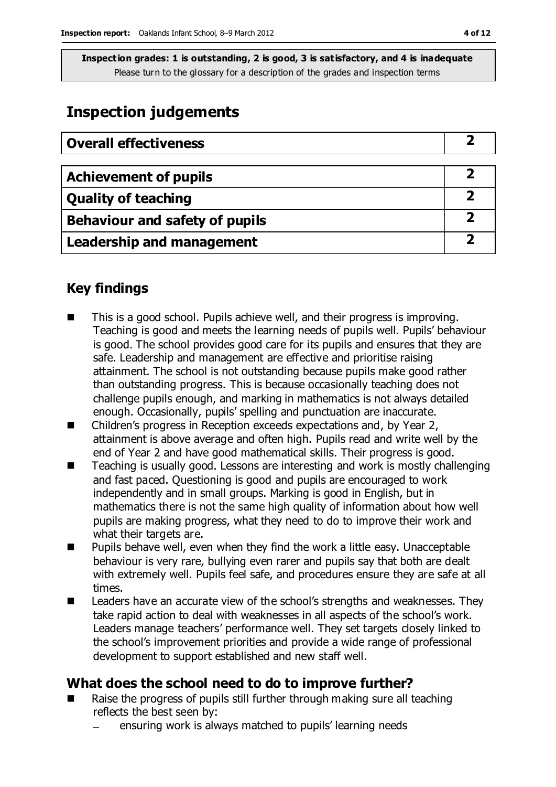## **Inspection judgements**

| <b>Overall effectiveness</b>          |   |
|---------------------------------------|---|
|                                       |   |
| <b>Achievement of pupils</b>          |   |
| <b>Quality of teaching</b>            |   |
| <b>Behaviour and safety of pupils</b> |   |
| <b>Leadership and management</b>      | כ |

### **Key findings**

- This is a good school. Pupils achieve well, and their progress is improving. Teaching is good and meets the learning needs of pupils well. Pupils' behaviour is good. The school provides good care for its pupils and ensures that they are safe. Leadership and management are effective and prioritise raising attainment. The school is not outstanding because pupils make good rather than outstanding progress. This is because occasionally teaching does not challenge pupils enough, and marking in mathematics is not always detailed enough. Occasionally, pupils' spelling and punctuation are inaccurate.
- Children's progress in Reception exceeds expectations and, by Year 2, attainment is above average and often high. Pupils read and write well by the end of Year 2 and have good mathematical skills. Their progress is good.
- Teaching is usually good. Lessons are interesting and work is mostly challenging and fast paced. Questioning is good and pupils are encouraged to work independently and in small groups. Marking is good in English, but in mathematics there is not the same high quality of information about how well pupils are making progress, what they need to do to improve their work and what their targets are.
- Pupils behave well, even when they find the work a little easy. Unacceptable behaviour is very rare, bullying even rarer and pupils say that both are dealt with extremely well. Pupils feel safe, and procedures ensure they are safe at all times.
- Leaders have an accurate view of the school's strengths and weaknesses. They take rapid action to deal with weaknesses in all aspects of the school's work. Leaders manage teachers' performance well. They set targets closely linked to the school's improvement priorities and provide a wide range of professional development to support established and new staff well.

### **What does the school need to do to improve further?**

- Raise the progress of pupils still further through making sure all teaching reflects the best seen by:
	- ensuring work is always matched to pupils' learning needs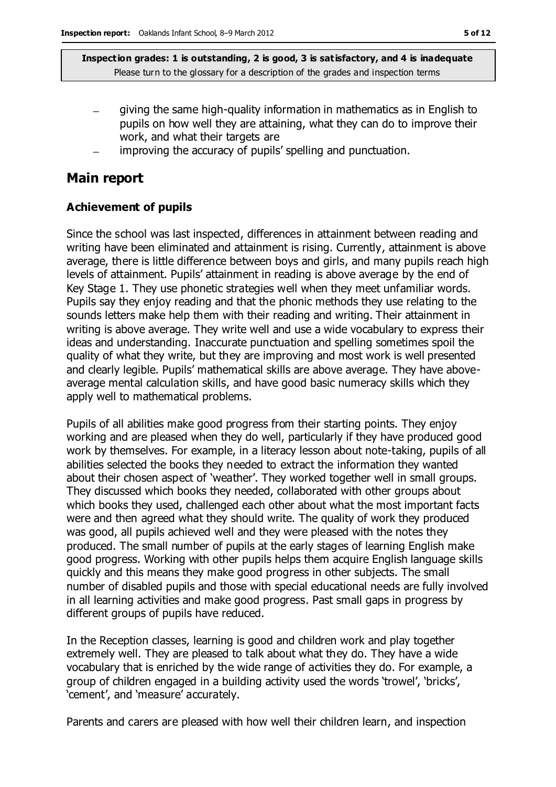- giving the same high-quality information in mathematics as in English to pupils on how well they are attaining, what they can do to improve their work, and what their targets are
- improving the accuracy of pupils' spelling and punctuation.

### **Main report**

#### **Achievement of pupils**

Since the school was last inspected, differences in attainment between reading and writing have been eliminated and attainment is rising. Currently, attainment is above average, there is little difference between boys and girls, and many pupils reach high levels of attainment. Pupils' attainment in reading is above average by the end of Key Stage 1. They use phonetic strategies well when they meet unfamiliar words. Pupils say they enjoy reading and that the phonic methods they use relating to the sounds letters make help them with their reading and writing. Their attainment in writing is above average. They write well and use a wide vocabulary to express their ideas and understanding. Inaccurate punctuation and spelling sometimes spoil the quality of what they write, but they are improving and most work is well presented and clearly legible. Pupils' mathematical skills are above average. They have aboveaverage mental calculation skills, and have good basic numeracy skills which they apply well to mathematical problems.

Pupils of all abilities make good progress from their starting points. They enjoy working and are pleased when they do well, particularly if they have produced good work by themselves. For example, in a literacy lesson about note-taking, pupils of all abilities selected the books they needed to extract the information they wanted about their chosen aspect of 'weather'. They worked together well in small groups. They discussed which books they needed, collaborated with other groups about which books they used, challenged each other about what the most important facts were and then agreed what they should write. The quality of work they produced was good, all pupils achieved well and they were pleased with the notes they produced. The small number of pupils at the early stages of learning English make good progress. Working with other pupils helps them acquire English language skills quickly and this means they make good progress in other subjects. The small number of disabled pupils and those with special educational needs are fully involved in all learning activities and make good progress. Past small gaps in progress by different groups of pupils have reduced.

In the Reception classes, learning is good and children work and play together extremely well. They are pleased to talk about what they do. They have a wide vocabulary that is enriched by the wide range of activities they do. For example, a group of children engaged in a building activity used the words 'trowel', 'bricks', 'cement', and 'measure' accurately.

Parents and carers are pleased with how well their children learn, and inspection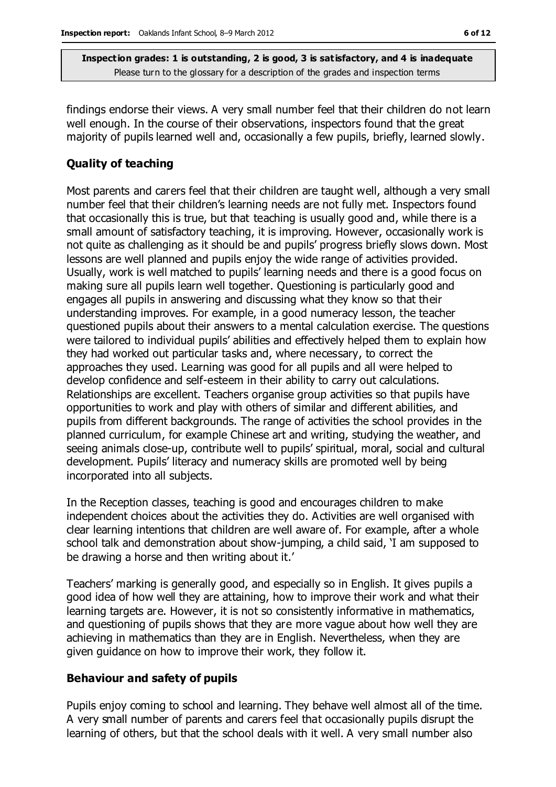findings endorse their views. A very small number feel that their children do not learn well enough. In the course of their observations, inspectors found that the great majority of pupils learned well and, occasionally a few pupils, briefly, learned slowly.

#### **Quality of teaching**

Most parents and carers feel that their children are taught well, although a very small number feel that their children's learning needs are not fully met. Inspectors found that occasionally this is true, but that teaching is usually good and, while there is a small amount of satisfactory teaching, it is improving. However, occasionally work is not quite as challenging as it should be and pupils' progress briefly slows down. Most lessons are well planned and pupils enjoy the wide range of activities provided. Usually, work is well matched to pupils' learning needs and there is a good focus on making sure all pupils learn well together. Questioning is particularly good and engages all pupils in answering and discussing what they know so that their understanding improves. For example, in a good numeracy lesson, the teacher questioned pupils about their answers to a mental calculation exercise. The questions were tailored to individual pupils' abilities and effectively helped them to explain how they had worked out particular tasks and, where necessary, to correct the approaches they used. Learning was good for all pupils and all were helped to develop confidence and self-esteem in their ability to carry out calculations. Relationships are excellent. Teachers organise group activities so that pupils have opportunities to work and play with others of similar and different abilities, and pupils from different backgrounds. The range of activities the school provides in the planned curriculum, for example Chinese art and writing, studying the weather, and seeing animals close-up, contribute well to pupils' spiritual, moral, social and cultural development. Pupils' literacy and numeracy skills are promoted well by being incorporated into all subjects.

In the Reception classes, teaching is good and encourages children to make independent choices about the activities they do. Activities are well organised with clear learning intentions that children are well aware of. For example, after a whole school talk and demonstration about show-jumping, a child said, 'I am supposed to be drawing a horse and then writing about it.'

Teachers' marking is generally good, and especially so in English. It gives pupils a good idea of how well they are attaining, how to improve their work and what their learning targets are. However, it is not so consistently informative in mathematics, and questioning of pupils shows that they are more vague about how well they are achieving in mathematics than they are in English. Nevertheless, when they are given guidance on how to improve their work, they follow it.

#### **Behaviour and safety of pupils**

Pupils enjoy coming to school and learning. They behave well almost all of the time. A very small number of parents and carers feel that occasionally pupils disrupt the learning of others, but that the school deals with it well. A very small number also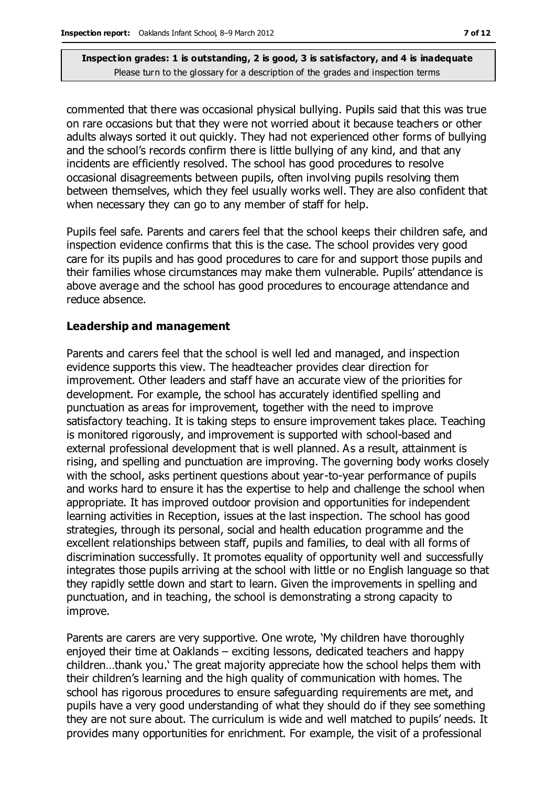commented that there was occasional physical bullying. Pupils said that this was true on rare occasions but that they were not worried about it because teachers or other adults always sorted it out quickly. They had not experienced other forms of bullying and the school's records confirm there is little bullying of any kind, and that any incidents are efficiently resolved. The school has good procedures to resolve occasional disagreements between pupils, often involving pupils resolving them between themselves, which they feel usually works well. They are also confident that when necessary they can go to any member of staff for help.

Pupils feel safe. Parents and carers feel that the school keeps their children safe, and inspection evidence confirms that this is the case. The school provides very good care for its pupils and has good procedures to care for and support those pupils and their families whose circumstances may make them vulnerable. Pupils' attendance is above average and the school has good procedures to encourage attendance and reduce absence.

#### **Leadership and management**

Parents and carers feel that the school is well led and managed, and inspection evidence supports this view. The headteacher provides clear direction for improvement. Other leaders and staff have an accurate view of the priorities for development. For example, the school has accurately identified spelling and punctuation as areas for improvement, together with the need to improve satisfactory teaching. It is taking steps to ensure improvement takes place. Teaching is monitored rigorously, and improvement is supported with school-based and external professional development that is well planned. As a result, attainment is rising, and spelling and punctuation are improving. The governing body works closely with the school, asks pertinent questions about year-to-year performance of pupils and works hard to ensure it has the expertise to help and challenge the school when appropriate. It has improved outdoor provision and opportunities for independent learning activities in Reception, issues at the last inspection. The school has good strategies, through its personal, social and health education programme and the excellent relationships between staff, pupils and families, to deal with all forms of discrimination successfully. It promotes equality of opportunity well and successfully integrates those pupils arriving at the school with little or no English language so that they rapidly settle down and start to learn. Given the improvements in spelling and punctuation, and in teaching, the school is demonstrating a strong capacity to improve.

Parents are carers are very supportive. One wrote, 'My children have thoroughly enjoyed their time at Oaklands – exciting lessons, dedicated teachers and happy children…thank you.' The great majority appreciate how the school helps them with their children's learning and the high quality of communication with homes. The school has rigorous procedures to ensure safeguarding requirements are met, and pupils have a very good understanding of what they should do if they see something they are not sure about. The curriculum is wide and well matched to pupils' needs. It provides many opportunities for enrichment. For example, the visit of a professional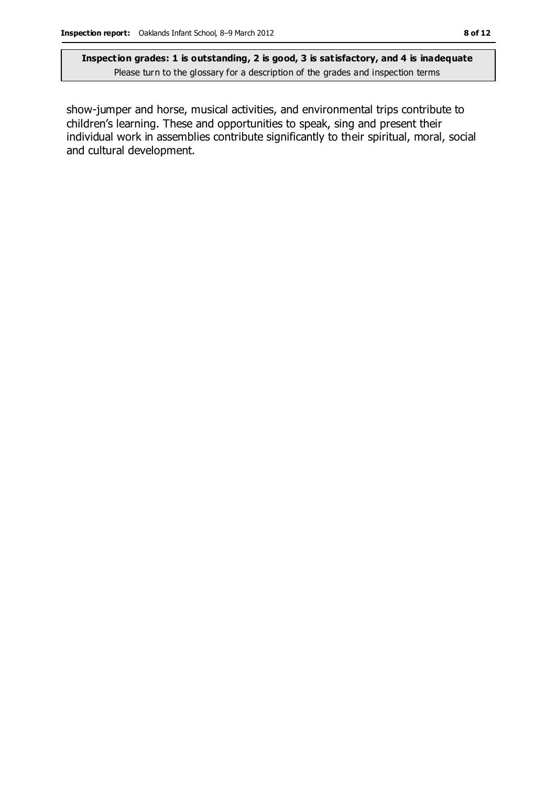show-jumper and horse, musical activities, and environmental trips contribute to children's learning. These and opportunities to speak, sing and present their individual work in assemblies contribute significantly to their spiritual, moral, social and cultural development.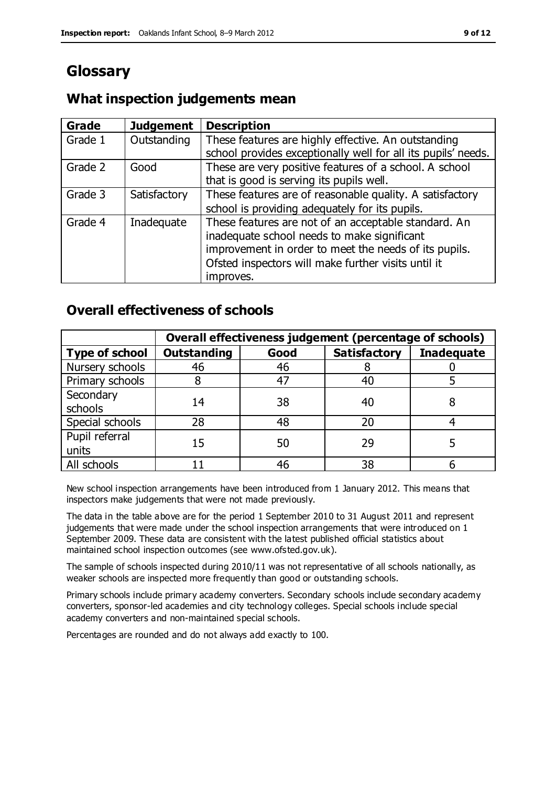# **Glossary**

### **What inspection judgements mean**

| Grade   | <b>Judgement</b> | <b>Description</b>                                                                                                                                                                                                               |
|---------|------------------|----------------------------------------------------------------------------------------------------------------------------------------------------------------------------------------------------------------------------------|
| Grade 1 | Outstanding      | These features are highly effective. An outstanding<br>school provides exceptionally well for all its pupils' needs.                                                                                                             |
| Grade 2 | Good             | These are very positive features of a school. A school<br>that is good is serving its pupils well.                                                                                                                               |
| Grade 3 | Satisfactory     | These features are of reasonable quality. A satisfactory<br>school is providing adequately for its pupils.                                                                                                                       |
| Grade 4 | Inadequate       | These features are not of an acceptable standard. An<br>inadequate school needs to make significant<br>improvement in order to meet the needs of its pupils.<br>Ofsted inspectors will make further visits until it<br>improves. |

### **Overall effectiveness of schools**

|                         | Overall effectiveness judgement (percentage of schools) |      |                     |                   |
|-------------------------|---------------------------------------------------------|------|---------------------|-------------------|
| <b>Type of school</b>   | <b>Outstanding</b>                                      | Good | <b>Satisfactory</b> | <b>Inadequate</b> |
| Nursery schools         | 46                                                      | 46   |                     |                   |
| Primary schools         |                                                         | 47   | 40                  |                   |
| Secondary<br>schools    | 14                                                      | 38   | 40                  |                   |
| Special schools         | 28                                                      | 48   | 20                  |                   |
| Pupil referral<br>units | 15                                                      | 50   | 29                  |                   |
| All schools             |                                                         | 46   | 38                  |                   |

New school inspection arrangements have been introduced from 1 January 2012. This means that inspectors make judgements that were not made previously.

The data in the table above are for the period 1 September 2010 to 31 August 2011 and represent judgements that were made under the school inspection arrangements that were introduced on 1 September 2009. These data are consistent with the latest published official statistics about maintained school inspection outcomes (see www.ofsted.gov.uk).

The sample of schools inspected during 2010/11 was not representative of all schools nationally, as weaker schools are inspected more frequently than good or outstanding schools.

Primary schools include primary academy converters. Secondary schools include secondary academy converters, sponsor-led academies and city technology colleges. Special schools include special academy converters and non-maintained special schools.

Percentages are rounded and do not always add exactly to 100.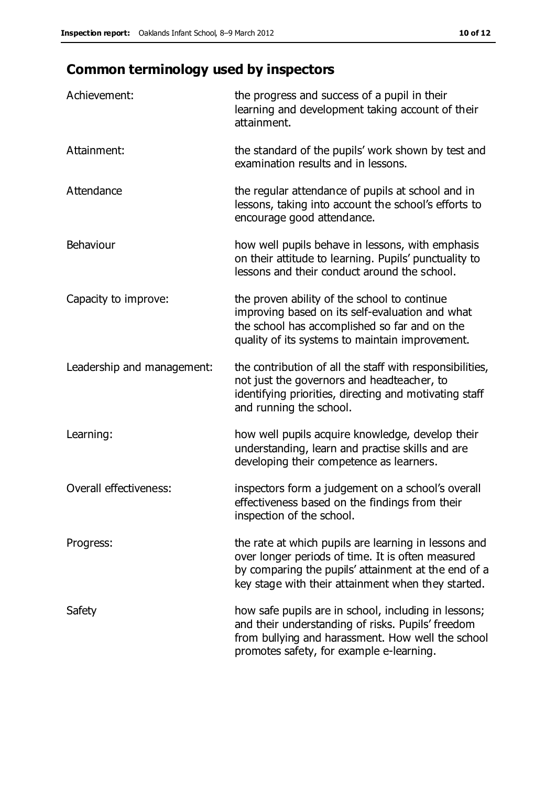# **Common terminology used by inspectors**

| Achievement:               | the progress and success of a pupil in their<br>learning and development taking account of their<br>attainment.                                                                                                        |
|----------------------------|------------------------------------------------------------------------------------------------------------------------------------------------------------------------------------------------------------------------|
| Attainment:                | the standard of the pupils' work shown by test and<br>examination results and in lessons.                                                                                                                              |
| Attendance                 | the regular attendance of pupils at school and in<br>lessons, taking into account the school's efforts to<br>encourage good attendance.                                                                                |
| Behaviour                  | how well pupils behave in lessons, with emphasis<br>on their attitude to learning. Pupils' punctuality to<br>lessons and their conduct around the school.                                                              |
| Capacity to improve:       | the proven ability of the school to continue<br>improving based on its self-evaluation and what<br>the school has accomplished so far and on the<br>quality of its systems to maintain improvement.                    |
| Leadership and management: | the contribution of all the staff with responsibilities,<br>not just the governors and headteacher, to<br>identifying priorities, directing and motivating staff<br>and running the school.                            |
| Learning:                  | how well pupils acquire knowledge, develop their<br>understanding, learn and practise skills and are<br>developing their competence as learners.                                                                       |
| Overall effectiveness:     | inspectors form a judgement on a school's overall<br>effectiveness based on the findings from their<br>inspection of the school.                                                                                       |
| Progress:                  | the rate at which pupils are learning in lessons and<br>over longer periods of time. It is often measured<br>by comparing the pupils' attainment at the end of a<br>key stage with their attainment when they started. |
| Safety                     | how safe pupils are in school, including in lessons;<br>and their understanding of risks. Pupils' freedom<br>from bullying and harassment. How well the school<br>promotes safety, for example e-learning.             |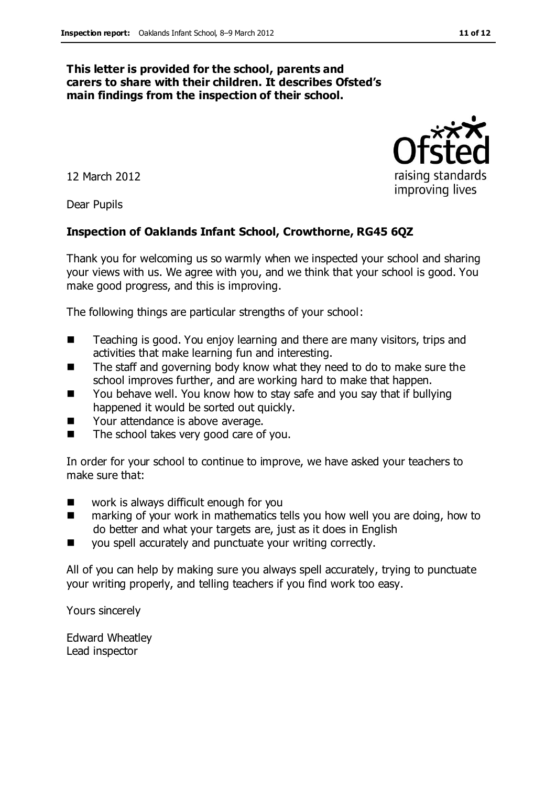#### **This letter is provided for the school, parents and carers to share with their children. It describes Ofsted's main findings from the inspection of their school.**

12 March 2012

Dear Pupils

#### **Inspection of Oaklands Infant School, Crowthorne, RG45 6QZ**

Thank you for welcoming us so warmly when we inspected your school and sharing your views with us. We agree with you, and we think that your school is good. You make good progress, and this is improving.

The following things are particular strengths of your school:

- Teaching is good. You enjoy learning and there are many visitors, trips and activities that make learning fun and interesting.
- The staff and governing body know what they need to do to make sure the school improves further, and are working hard to make that happen.
- You behave well. You know how to stay safe and you say that if bullying happened it would be sorted out quickly.
- Your attendance is above average.
- $\blacksquare$  The school takes very good care of you.

In order for your school to continue to improve, we have asked your teachers to make sure that:

- work is always difficult enough for you
- marking of your work in mathematics tells you how well you are doing, how to do better and what your targets are, just as it does in English
- you spell accurately and punctuate your writing correctly.

All of you can help by making sure you always spell accurately, trying to punctuate your writing properly, and telling teachers if you find work too easy.

Yours sincerely

Edward Wheatley Lead inspector